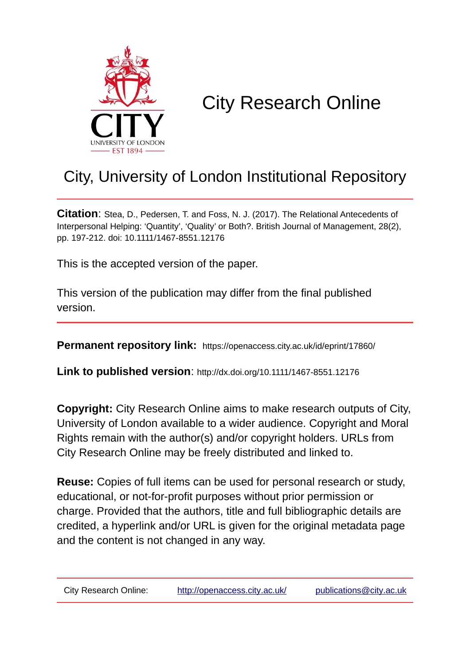

# City Research Online

# City, University of London Institutional Repository

**Citation**: Stea, D., Pedersen, T. and Foss, N. J. (2017). The Relational Antecedents of Interpersonal Helping: 'Quantity', 'Quality' or Both?. British Journal of Management, 28(2), pp. 197-212. doi: 10.1111/1467-8551.12176

This is the accepted version of the paper.

This version of the publication may differ from the final published version.

**Permanent repository link:** https://openaccess.city.ac.uk/id/eprint/17860/

**Link to published version**: http://dx.doi.org/10.1111/1467-8551.12176

**Copyright:** City Research Online aims to make research outputs of City, University of London available to a wider audience. Copyright and Moral Rights remain with the author(s) and/or copyright holders. URLs from City Research Online may be freely distributed and linked to.

**Reuse:** Copies of full items can be used for personal research or study, educational, or not-for-profit purposes without prior permission or charge. Provided that the authors, title and full bibliographic details are credited, a hyperlink and/or URL is given for the original metadata page and the content is not changed in any way.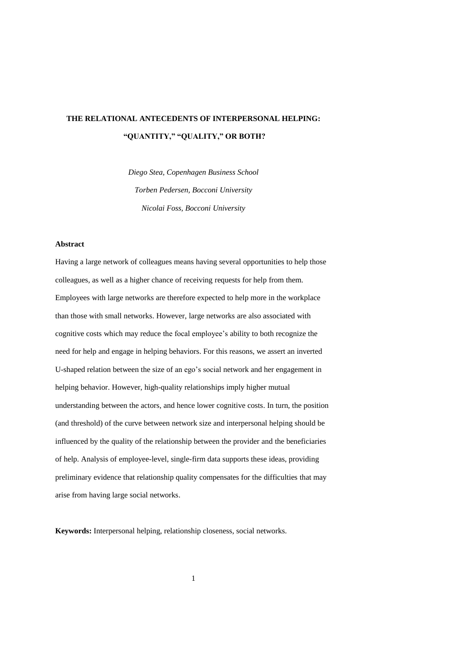# **THE RELATIONAL ANTECEDENTS OF INTERPERSONAL HELPING: "QUANTITY," "QUALITY," OR BOTH?**

*Diego Stea, Copenhagen Business School Torben Pedersen, Bocconi University Nicolai Foss, Bocconi University*

# **Abstract**

Having a large network of colleagues means having several opportunities to help those colleagues, as well as a higher chance of receiving requests for help from them. Employees with large networks are therefore expected to help more in the workplace than those with small networks. However, large networks are also associated with cognitive costs which may reduce the focal employee's ability to both recognize the need for help and engage in helping behaviors. For this reasons, we assert an inverted U-shaped relation between the size of an ego's social network and her engagement in helping behavior. However, high-quality relationships imply higher mutual understanding between the actors, and hence lower cognitive costs. In turn, the position (and threshold) of the curve between network size and interpersonal helping should be influenced by the quality of the relationship between the provider and the beneficiaries of help. Analysis of employee-level, single-firm data supports these ideas, providing preliminary evidence that relationship quality compensates for the difficulties that may arise from having large social networks.

**Keywords:** Interpersonal helping, relationship closeness, social networks.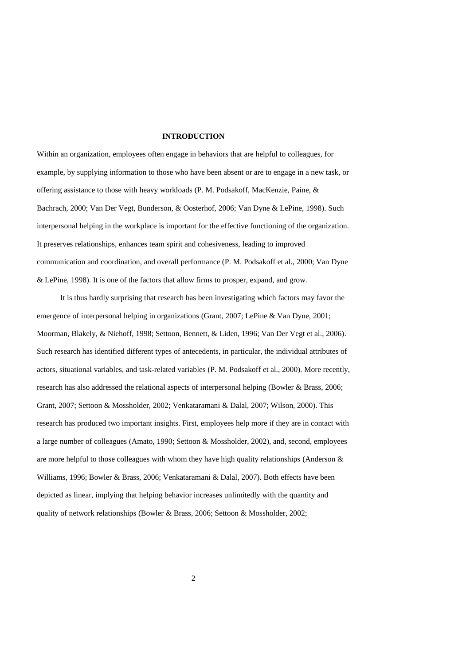# **INTRODUCTION**

Within an organization, employees often engage in behaviors that are helpful to colleagues, for example, by supplying information to those who have been absent or are to engage in a new task, or offering assistance to those with heavy workloads (P. M. Podsakoff, MacKenzie, Paine, & Bachrach, 2000; Van Der Vegt, Bunderson, & Oosterhof, 2006; Van Dyne & LePine, 1998). Such interpersonal helping in the workplace is important for the effective functioning of the organization. It preserves relationships, enhances team spirit and cohesiveness, leading to improved communication and coordination, and overall performance (P. M. Podsakoff et al., 2000; Van Dyne & LePine, 1998). It is one of the factors that allow firms to prosper, expand, and grow.

It is thus hardly surprising that research has been investigating which factors may favor the emergence of interpersonal helping in organizations (Grant, 2007; LePine & Van Dyne, 2001; Moorman, Blakely, & Niehoff, 1998; Settoon, Bennett, & Liden, 1996; Van Der Vegt et al., 2006). Such research has identified different types of antecedents, in particular, the individual attributes of actors, situational variables, and task-related variables (P. M. Podsakoff et al., 2000). More recently, research has also addressed the relational aspects of interpersonal helping (Bowler & Brass, 2006; Grant, 2007; Settoon & Mossholder, 2002; Venkataramani & Dalal, 2007; Wilson, 2000). This research has produced two important insights. First, employees help more if they are in contact with a large number of colleagues (Amato, 1990; Settoon & Mossholder, 2002), and, second, employees are more helpful to those colleagues with whom they have high quality relationships (Anderson  $\&$ Williams, 1996; Bowler & Brass, 2006; Venkataramani & Dalal, 2007). Both effects have been depicted as linear, implying that helping behavior increases unlimitedly with the quantity and quality of network relationships (Bowler & Brass, 2006; Settoon & Mossholder, 2002;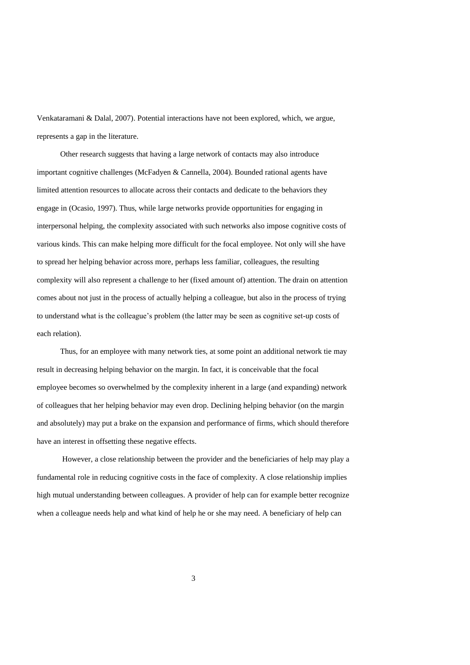Venkataramani & Dalal, 2007). Potential interactions have not been explored, which, we argue, represents a gap in the literature.

Other research suggests that having a large network of contacts may also introduce important cognitive challenges (McFadyen & Cannella, 2004). Bounded rational agents have limited attention resources to allocate across their contacts and dedicate to the behaviors they engage in (Ocasio, 1997). Thus, while large networks provide opportunities for engaging in interpersonal helping, the complexity associated with such networks also impose cognitive costs of various kinds. This can make helping more difficult for the focal employee. Not only will she have to spread her helping behavior across more, perhaps less familiar, colleagues, the resulting complexity will also represent a challenge to her (fixed amount of) attention. The drain on attention comes about not just in the process of actually helping a colleague, but also in the process of trying to understand what is the colleague's problem (the latter may be seen as cognitive set-up costs of each relation).

Thus, for an employee with many network ties, at some point an additional network tie may result in decreasing helping behavior on the margin. In fact, it is conceivable that the focal employee becomes so overwhelmed by the complexity inherent in a large (and expanding) network of colleagues that her helping behavior may even drop. Declining helping behavior (on the margin and absolutely) may put a brake on the expansion and performance of firms, which should therefore have an interest in offsetting these negative effects.

However, a close relationship between the provider and the beneficiaries of help may play a fundamental role in reducing cognitive costs in the face of complexity. A close relationship implies high mutual understanding between colleagues. A provider of help can for example better recognize when a colleague needs help and what kind of help he or she may need. A beneficiary of help can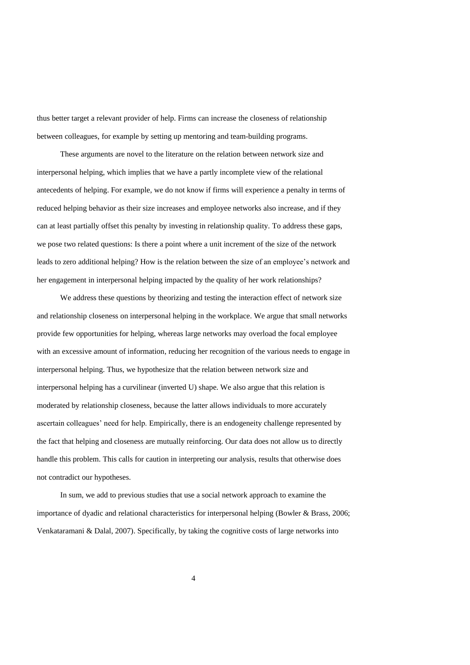thus better target a relevant provider of help. Firms can increase the closeness of relationship between colleagues, for example by setting up mentoring and team-building programs.

These arguments are novel to the literature on the relation between network size and interpersonal helping, which implies that we have a partly incomplete view of the relational antecedents of helping. For example, we do not know if firms will experience a penalty in terms of reduced helping behavior as their size increases and employee networks also increase, and if they can at least partially offset this penalty by investing in relationship quality. To address these gaps, we pose two related questions: Is there a point where a unit increment of the size of the network leads to zero additional helping? How is the relation between the size of an employee's network and her engagement in interpersonal helping impacted by the quality of her work relationships?

We address these questions by theorizing and testing the interaction effect of network size and relationship closeness on interpersonal helping in the workplace. We argue that small networks provide few opportunities for helping, whereas large networks may overload the focal employee with an excessive amount of information, reducing her recognition of the various needs to engage in interpersonal helping. Thus, we hypothesize that the relation between network size and interpersonal helping has a curvilinear (inverted U) shape. We also argue that this relation is moderated by relationship closeness, because the latter allows individuals to more accurately ascertain colleagues' need for help. Empirically, there is an endogeneity challenge represented by the fact that helping and closeness are mutually reinforcing. Our data does not allow us to directly handle this problem. This calls for caution in interpreting our analysis, results that otherwise does not contradict our hypotheses.

In sum, we add to previous studies that use a social network approach to examine the importance of dyadic and relational characteristics for interpersonal helping (Bowler & Brass, 2006; Venkataramani & Dalal, 2007). Specifically, by taking the cognitive costs of large networks into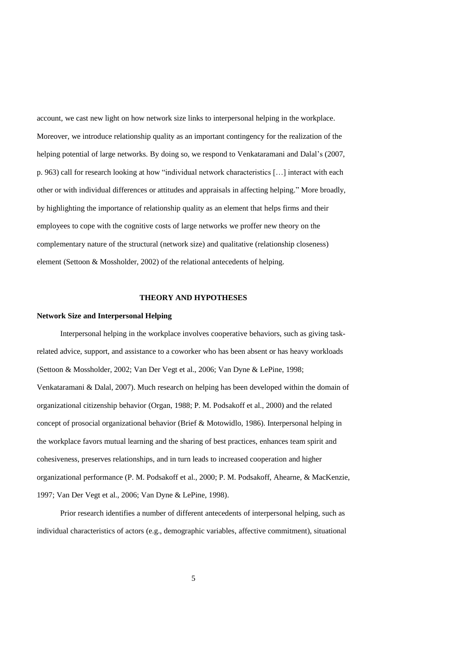account, we cast new light on how network size links to interpersonal helping in the workplace. Moreover, we introduce relationship quality as an important contingency for the realization of the helping potential of large networks. By doing so, we respond to Venkataramani and Dalal's (2007, p. 963) call for research looking at how "individual network characteristics […] interact with each other or with individual differences or attitudes and appraisals in affecting helping." More broadly, by highlighting the importance of relationship quality as an element that helps firms and their employees to cope with the cognitive costs of large networks we proffer new theory on the complementary nature of the structural (network size) and qualitative (relationship closeness) element (Settoon & Mossholder, 2002) of the relational antecedents of helping.

# **THEORY AND HYPOTHESES**

## **Network Size and Interpersonal Helping**

Interpersonal helping in the workplace involves cooperative behaviors, such as giving taskrelated advice, support, and assistance to a coworker who has been absent or has heavy workloads (Settoon & Mossholder, 2002; Van Der Vegt et al., 2006; Van Dyne & LePine, 1998; Venkataramani & Dalal, 2007). Much research on helping has been developed within the domain of organizational citizenship behavior (Organ, 1988; P. M. Podsakoff et al., 2000) and the related concept of prosocial organizational behavior (Brief & Motowidlo, 1986). Interpersonal helping in the workplace favors mutual learning and the sharing of best practices, enhances team spirit and cohesiveness, preserves relationships, and in turn leads to increased cooperation and higher organizational performance (P. M. Podsakoff et al., 2000; P. M. Podsakoff, Ahearne, & MacKenzie, 1997; Van Der Vegt et al., 2006; Van Dyne & LePine, 1998).

Prior research identifies a number of different antecedents of interpersonal helping, such as individual characteristics of actors (e.g., demographic variables, affective commitment), situational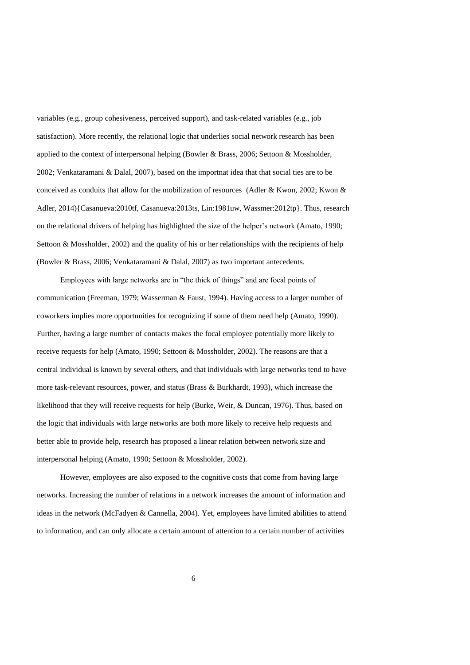variables (e.g., group cohesiveness, perceived support), and task-related variables (e.g., job satisfaction). More recently, the relational logic that underlies social network research has been applied to the context of interpersonal helping (Bowler & Brass, 2006; Settoon & Mossholder, 2002; Venkataramani & Dalal, 2007), based on the importnat idea that that social ties are to be conceived as conduits that allow for the mobilization of resources (Adler & Kwon, 2002; Kwon & Adler, 2014){Casanueva:2010tf, Casanueva:2013ts, Lin:1981uw, Wassmer:2012tp}. Thus, research on the relational drivers of helping has highlighted the size of the helper's network (Amato, 1990; Settoon & Mossholder, 2002) and the quality of his or her relationships with the recipients of help (Bowler & Brass, 2006; Venkataramani & Dalal, 2007) as two important antecedents.

Employees with large networks are in "the thick of things" and are focal points of communication (Freeman, 1979; Wasserman & Faust, 1994). Having access to a larger number of coworkers implies more opportunities for recognizing if some of them need help (Amato, 1990). Further, having a large number of contacts makes the focal employee potentially more likely to receive requests for help (Amato, 1990; Settoon & Mossholder, 2002). The reasons are that a central individual is known by several others, and that individuals with large networks tend to have more task-relevant resources, power, and status (Brass & Burkhardt, 1993), which increase the likelihood that they will receive requests for help (Burke, Weir, & Duncan, 1976). Thus, based on the logic that individuals with large networks are both more likely to receive help requests and better able to provide help, research has proposed a linear relation between network size and interpersonal helping (Amato, 1990; Settoon & Mossholder, 2002).

However, employees are also exposed to the cognitive costs that come from having large networks. Increasing the number of relations in a network increases the amount of information and ideas in the network (McFadyen & Cannella, 2004). Yet, employees have limited abilities to attend to information, and can only allocate a certain amount of attention to a certain number of activities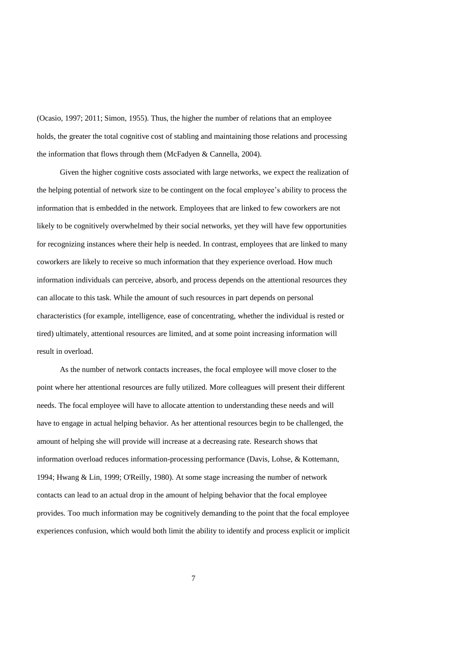(Ocasio, 1997; 2011; Simon, 1955). Thus, the higher the number of relations that an employee holds, the greater the total cognitive cost of stabling and maintaining those relations and processing the information that flows through them (McFadyen & Cannella, 2004).

Given the higher cognitive costs associated with large networks, we expect the realization of the helping potential of network size to be contingent on the focal employee's ability to process the information that is embedded in the network. Employees that are linked to few coworkers are not likely to be cognitively overwhelmed by their social networks, yet they will have few opportunities for recognizing instances where their help is needed. In contrast, employees that are linked to many coworkers are likely to receive so much information that they experience overload. How much information individuals can perceive, absorb, and process depends on the attentional resources they can allocate to this task. While the amount of such resources in part depends on personal characteristics (for example, intelligence, ease of concentrating, whether the individual is rested or tired) ultimately, attentional resources are limited, and at some point increasing information will result in overload.

As the number of network contacts increases, the focal employee will move closer to the point where her attentional resources are fully utilized. More colleagues will present their different needs. The focal employee will have to allocate attention to understanding these needs and will have to engage in actual helping behavior. As her attentional resources begin to be challenged, the amount of helping she will provide will increase at a decreasing rate. Research shows that information overload reduces information-processing performance (Davis, Lohse, & Kottemann, 1994; Hwang & Lin, 1999; O'Reilly, 1980). At some stage increasing the number of network contacts can lead to an actual drop in the amount of helping behavior that the focal employee provides. Too much information may be cognitively demanding to the point that the focal employee experiences confusion, which would both limit the ability to identify and process explicit or implicit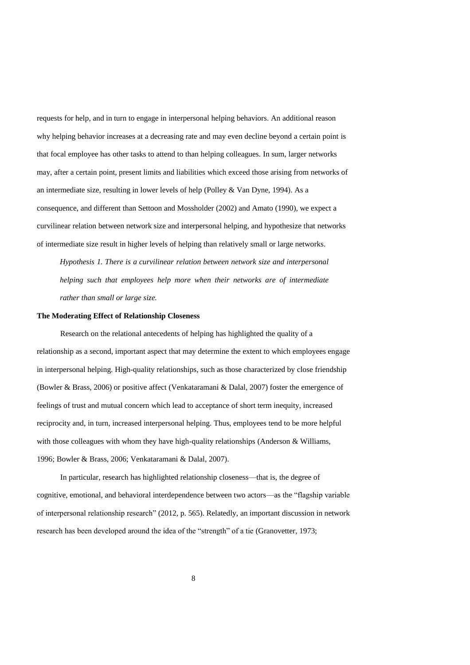requests for help, and in turn to engage in interpersonal helping behaviors. An additional reason why helping behavior increases at a decreasing rate and may even decline beyond a certain point is that focal employee has other tasks to attend to than helping colleagues. In sum, larger networks may, after a certain point, present limits and liabilities which exceed those arising from networks of an intermediate size, resulting in lower levels of help (Polley & Van Dyne, 1994). As a consequence, and different than Settoon and Mossholder (2002) and Amato (1990), we expect a curvilinear relation between network size and interpersonal helping, and hypothesize that networks of intermediate size result in higher levels of helping than relatively small or large networks.

*Hypothesis 1. There is a curvilinear relation between network size and interpersonal helping such that employees help more when their networks are of intermediate rather than small or large size.* 

# **The Moderating Effect of Relationship Closeness**

Research on the relational antecedents of helping has highlighted the quality of a relationship as a second, important aspect that may determine the extent to which employees engage in interpersonal helping. High-quality relationships, such as those characterized by close friendship (Bowler & Brass, 2006) or positive affect (Venkataramani & Dalal, 2007) foster the emergence of feelings of trust and mutual concern which lead to acceptance of short term inequity, increased reciprocity and, in turn, increased interpersonal helping. Thus, employees tend to be more helpful with those colleagues with whom they have high-quality relationships (Anderson & Williams, 1996; Bowler & Brass, 2006; Venkataramani & Dalal, 2007).

In particular, research has highlighted relationship closeness—that is, the degree of cognitive, emotional, and behavioral interdependence between two actors—as the "flagship variable of interpersonal relationship research" (2012, p. 565). Relatedly, an important discussion in network research has been developed around the idea of the "strength" of a tie (Granovetter, 1973;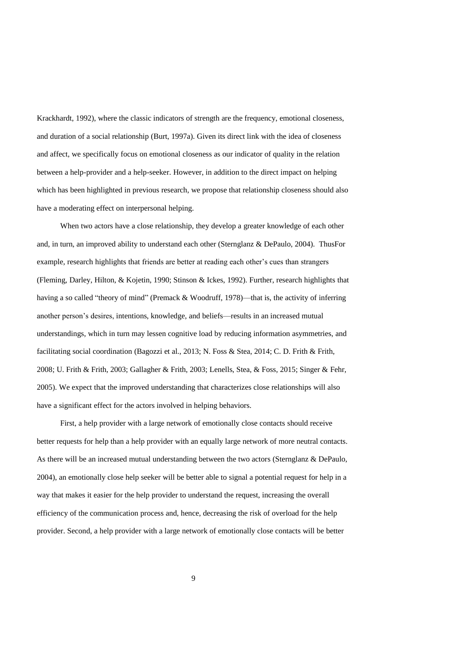Krackhardt, 1992), where the classic indicators of strength are the frequency, emotional closeness, and duration of a social relationship (Burt, 1997a). Given its direct link with the idea of closeness and affect, we specifically focus on emotional closeness as our indicator of quality in the relation between a help-provider and a help-seeker. However, in addition to the direct impact on helping which has been highlighted in previous research, we propose that relationship closeness should also have a moderating effect on interpersonal helping.

When two actors have a close relationship, they develop a greater knowledge of each other and, in turn, an improved ability to understand each other (Sternglanz & DePaulo, 2004). ThusFor example, research highlights that friends are better at reading each other's cues than strangers (Fleming, Darley, Hilton, & Kojetin, 1990; Stinson & Ickes, 1992). Further, research highlights that having a so called "theory of mind" (Premack & Woodruff, 1978)—that is, the activity of inferring another person's desires, intentions, knowledge, and beliefs—results in an increased mutual understandings, which in turn may lessen cognitive load by reducing information asymmetries, and facilitating social coordination (Bagozzi et al., 2013; N. Foss & Stea, 2014; C. D. Frith & Frith, 2008; U. Frith & Frith, 2003; Gallagher & Frith, 2003; Lenells, Stea, & Foss, 2015; Singer & Fehr, 2005). We expect that the improved understanding that characterizes close relationships will also have a significant effect for the actors involved in helping behaviors.

First, a help provider with a large network of emotionally close contacts should receive better requests for help than a help provider with an equally large network of more neutral contacts. As there will be an increased mutual understanding between the two actors (Sternglanz & DePaulo, 2004), an emotionally close help seeker will be better able to signal a potential request for help in a way that makes it easier for the help provider to understand the request, increasing the overall efficiency of the communication process and, hence, decreasing the risk of overload for the help provider. Second, a help provider with a large network of emotionally close contacts will be better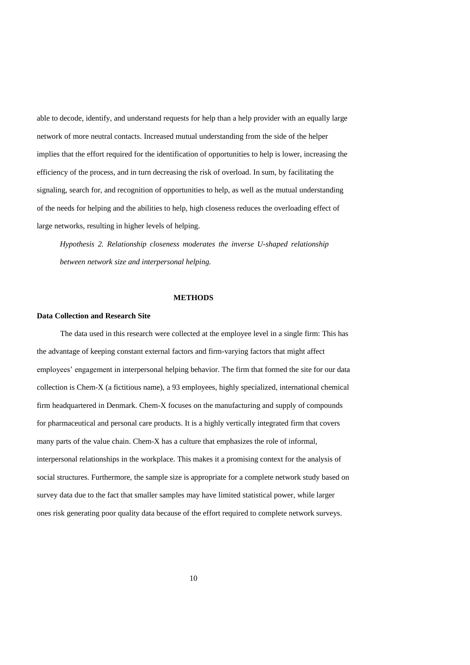able to decode, identify, and understand requests for help than a help provider with an equally large network of more neutral contacts. Increased mutual understanding from the side of the helper implies that the effort required for the identification of opportunities to help is lower, increasing the efficiency of the process, and in turn decreasing the risk of overload. In sum, by facilitating the signaling, search for, and recognition of opportunities to help, as well as the mutual understanding of the needs for helping and the abilities to help, high closeness reduces the overloading effect of large networks, resulting in higher levels of helping.

*Hypothesis 2. Relationship closeness moderates the inverse U-shaped relationship between network size and interpersonal helping.* 

## **METHODS**

# **Data Collection and Research Site**

The data used in this research were collected at the employee level in a single firm: This has the advantage of keeping constant external factors and firm-varying factors that might affect employees' engagement in interpersonal helping behavior. The firm that formed the site for our data collection is Chem-X (a fictitious name), a 93 employees, highly specialized, international chemical firm headquartered in Denmark. Chem-X focuses on the manufacturing and supply of compounds for pharmaceutical and personal care products. It is a highly vertically integrated firm that covers many parts of the value chain. Chem-X has a culture that emphasizes the role of informal, interpersonal relationships in the workplace. This makes it a promising context for the analysis of social structures. Furthermore, the sample size is appropriate for a complete network study based on survey data due to the fact that smaller samples may have limited statistical power, while larger ones risk generating poor quality data because of the effort required to complete network surveys.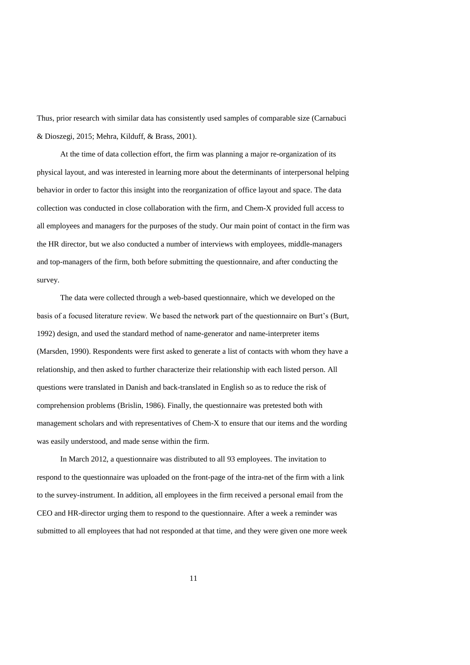Thus, prior research with similar data has consistently used samples of comparable size (Carnabuci & Dioszegi, 2015; Mehra, Kilduff, & Brass, 2001).

At the time of data collection effort, the firm was planning a major re-organization of its physical layout, and was interested in learning more about the determinants of interpersonal helping behavior in order to factor this insight into the reorganization of office layout and space. The data collection was conducted in close collaboration with the firm, and Chem-X provided full access to all employees and managers for the purposes of the study. Our main point of contact in the firm was the HR director, but we also conducted a number of interviews with employees, middle-managers and top-managers of the firm, both before submitting the questionnaire, and after conducting the survey.

The data were collected through a web-based questionnaire, which we developed on the basis of a focused literature review. We based the network part of the questionnaire on Burt's (Burt, 1992) design, and used the standard method of name-generator and name-interpreter items (Marsden, 1990). Respondents were first asked to generate a list of contacts with whom they have a relationship, and then asked to further characterize their relationship with each listed person. All questions were translated in Danish and back-translated in English so as to reduce the risk of comprehension problems (Brislin, 1986). Finally, the questionnaire was pretested both with management scholars and with representatives of Chem-X to ensure that our items and the wording was easily understood, and made sense within the firm.

In March 2012, a questionnaire was distributed to all 93 employees. The invitation to respond to the questionnaire was uploaded on the front-page of the intra-net of the firm with a link to the survey-instrument. In addition, all employees in the firm received a personal email from the CEO and HR-director urging them to respond to the questionnaire. After a week a reminder was submitted to all employees that had not responded at that time, and they were given one more week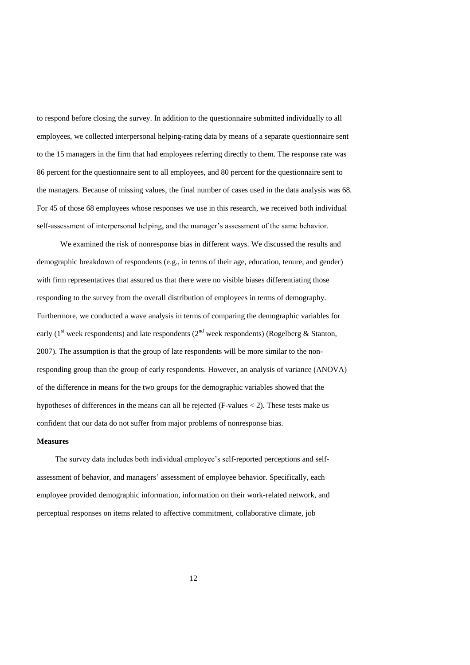to respond before closing the survey. In addition to the questionnaire submitted individually to all employees, we collected interpersonal helping-rating data by means of a separate questionnaire sent to the 15 managers in the firm that had employees referring directly to them. The response rate was 86 percent for the questionnaire sent to all employees, and 80 percent for the questionnaire sent to the managers. Because of missing values, the final number of cases used in the data analysis was 68. For 45 of those 68 employees whose responses we use in this research, we received both individual self-assessment of interpersonal helping, and the manager's assessment of the same behavior.

We examined the risk of nonresponse bias in different ways. We discussed the results and demographic breakdown of respondents (e.g., in terms of their age, education, tenure, and gender) with firm representatives that assured us that there were no visible biases differentiating those responding to the survey from the overall distribution of employees in terms of demography. Furthermore, we conducted a wave analysis in terms of comparing the demographic variables for early ( $1<sup>st</sup>$  week respondents) and late respondents ( $2<sup>nd</sup>$  week respondents) (Rogelberg & Stanton, 2007). The assumption is that the group of late respondents will be more similar to the nonresponding group than the group of early respondents. However, an analysis of variance (ANOVA) of the difference in means for the two groups for the demographic variables showed that the hypotheses of differences in the means can all be rejected (F-values  $\lt 2$ ). These tests make us confident that our data do not suffer from major problems of nonresponse bias.

# **Measures**

The survey data includes both individual employee's self-reported perceptions and selfassessment of behavior, and managers' assessment of employee behavior. Specifically, each employee provided demographic information, information on their work-related network, and perceptual responses on items related to affective commitment, collaborative climate, job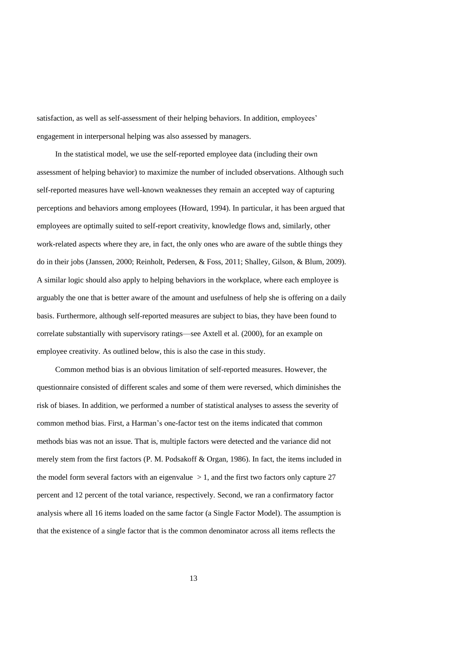satisfaction, as well as self-assessment of their helping behaviors. In addition, employees' engagement in interpersonal helping was also assessed by managers.

In the statistical model, we use the self-reported employee data (including their own assessment of helping behavior) to maximize the number of included observations. Although such self-reported measures have well-known weaknesses they remain an accepted way of capturing perceptions and behaviors among employees (Howard, 1994). In particular, it has been argued that employees are optimally suited to self-report creativity, knowledge flows and, similarly, other work-related aspects where they are, in fact, the only ones who are aware of the subtle things they do in their jobs (Janssen, 2000; Reinholt, Pedersen, & Foss, 2011; Shalley, Gilson, & Blum, 2009). A similar logic should also apply to helping behaviors in the workplace, where each employee is arguably the one that is better aware of the amount and usefulness of help she is offering on a daily basis. Furthermore, although self-reported measures are subject to bias, they have been found to correlate substantially with supervisory ratings—see Axtell et al. (2000), for an example on employee creativity. As outlined below, this is also the case in this study.

Common method bias is an obvious limitation of self-reported measures. However, the questionnaire consisted of different scales and some of them were reversed, which diminishes the risk of biases. In addition, we performed a number of statistical analyses to assess the severity of common method bias. First, a Harman's one-factor test on the items indicated that common methods bias was not an issue. That is, multiple factors were detected and the variance did not merely stem from the first factors (P. M. Podsakoff & Organ, 1986). In fact, the items included in the model form several factors with an eigenvalue  $> 1$ , and the first two factors only capture 27 percent and 12 percent of the total variance, respectively. Second, we ran a confirmatory factor analysis where all 16 items loaded on the same factor (a Single Factor Model). The assumption is that the existence of a single factor that is the common denominator across all items reflects the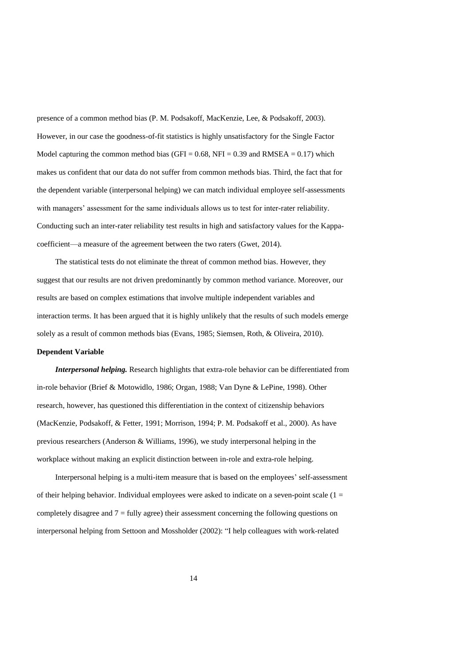presence of a common method bias (P. M. Podsakoff, MacKenzie, Lee, & Podsakoff, 2003). However, in our case the goodness-of-fit statistics is highly unsatisfactory for the Single Factor Model capturing the common method bias (GFI =  $0.68$ , NFI = 0.39 and RMSEA = 0.17) which makes us confident that our data do not suffer from common methods bias. Third, the fact that for the dependent variable (interpersonal helping) we can match individual employee self-assessments with managers' assessment for the same individuals allows us to test for inter-rater reliability. Conducting such an inter-rater reliability test results in high and satisfactory values for the Kappacoefficient—a measure of the agreement between the two raters (Gwet, 2014).

The statistical tests do not eliminate the threat of common method bias. However, they suggest that our results are not driven predominantly by common method variance. Moreover, our results are based on complex estimations that involve multiple independent variables and interaction terms. It has been argued that it is highly unlikely that the results of such models emerge solely as a result of common methods bias (Evans, 1985; Siemsen, Roth, & Oliveira, 2010).

# **Dependent Variable**

*Interpersonal helping.* Research highlights that extra-role behavior can be differentiated from in-role behavior (Brief & Motowidlo, 1986; Organ, 1988; Van Dyne & LePine, 1998). Other research, however, has questioned this differentiation in the context of citizenship behaviors (MacKenzie, Podsakoff, & Fetter, 1991; Morrison, 1994; P. M. Podsakoff et al., 2000). As have previous researchers (Anderson & Williams, 1996), we study interpersonal helping in the workplace without making an explicit distinction between in-role and extra-role helping.

Interpersonal helping is a multi-item measure that is based on the employees' self-assessment of their helping behavior. Individual employees were asked to indicate on a seven-point scale  $(1 =$ completely disagree and  $7 =$  fully agree) their assessment concerning the following questions on interpersonal helping from Settoon and Mossholder (2002): "I help colleagues with work-related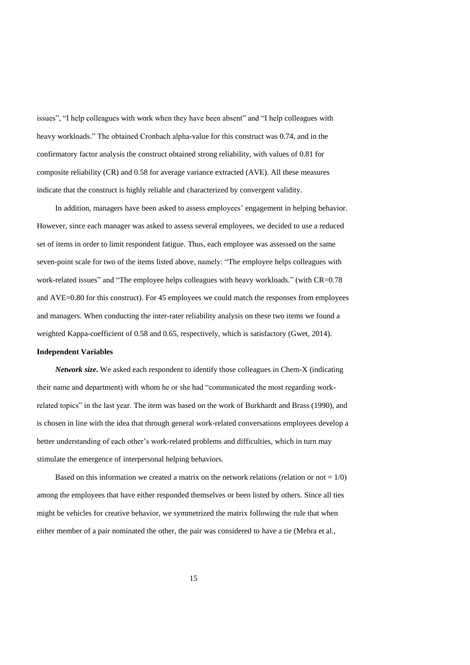issues", "I help colleagues with work when they have been absent" and "I help colleagues with heavy workloads." The obtained Cronbach alpha-value for this construct was 0.74, and in the confirmatory factor analysis the construct obtained strong reliability, with values of 0.81 for composite reliability (CR) and 0.58 for average variance extracted (AVE). All these measures indicate that the construct is highly reliable and characterized by convergent validity.

In addition, managers have been asked to assess employees' engagement in helping behavior. However, since each manager was asked to assess several employees, we decided to use a reduced set of items in order to limit respondent fatigue. Thus, each employee was assessed on the same seven-point scale for two of the items listed above, namely: "The employee helps colleagues with work-related issues" and "The employee helps colleagues with heavy workloads." (with CR=0.78 and AVE=0.80 for this construct). For 45 employees we could match the responses from employees and managers. When conducting the inter-rater reliability analysis on these two items we found a weighted Kappa-coefficient of 0.58 and 0.65, respectively, which is satisfactory (Gwet, 2014).

# **Independent Variables**

*Network size***.** We asked each respondent to identify those colleagues in Chem-X (indicating their name and department) with whom he or she had "communicated the most regarding workrelated topics" in the last year. The item was based on the work of Burkhardt and Brass (1990), and is chosen in line with the idea that through general work-related conversations employees develop a better understanding of each other's work-related problems and difficulties, which in turn may stimulate the emergence of interpersonal helping behaviors.

Based on this information we created a matrix on the network relations (relation or not  $= 1/0$ ) among the employees that have either responded themselves or been listed by others. Since all ties might be vehicles for creative behavior, we symmetrized the matrix following the rule that when either member of a pair nominated the other, the pair was considered to have a tie (Mehra et al.,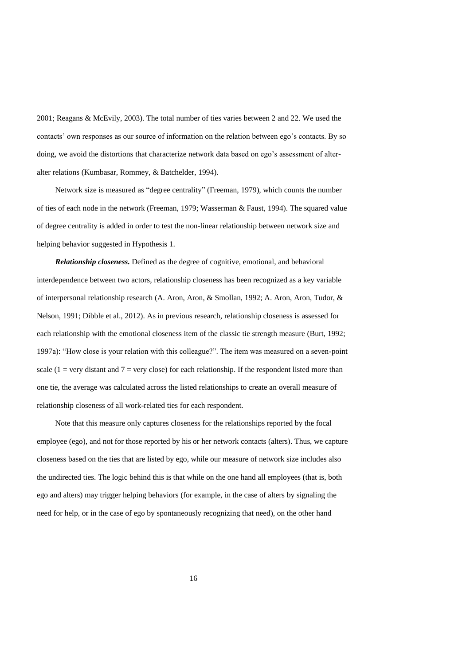2001; Reagans & McEvily, 2003). The total number of ties varies between 2 and 22. We used the contacts' own responses as our source of information on the relation between ego's contacts. By so doing, we avoid the distortions that characterize network data based on ego's assessment of alteralter relations (Kumbasar, Rommey, & Batchelder, 1994).

Network size is measured as "degree centrality" (Freeman, 1979), which counts the number of ties of each node in the network (Freeman, 1979; Wasserman & Faust, 1994). The squared value of degree centrality is added in order to test the non-linear relationship between network size and helping behavior suggested in Hypothesis 1.

*Relationship closeness.* Defined as the degree of cognitive, emotional, and behavioral interdependence between two actors, relationship closeness has been recognized as a key variable of interpersonal relationship research (A. Aron, Aron, & Smollan, 1992; A. Aron, Aron, Tudor, & Nelson, 1991; Dibble et al., 2012). As in previous research, relationship closeness is assessed for each relationship with the emotional closeness item of the classic tie strength measure (Burt, 1992; 1997a): "How close is your relation with this colleague?". The item was measured on a seven-point scale (1 = very distant and  $7$  = very close) for each relationship. If the respondent listed more than one tie, the average was calculated across the listed relationships to create an overall measure of relationship closeness of all work-related ties for each respondent.

Note that this measure only captures closeness for the relationships reported by the focal employee (ego), and not for those reported by his or her network contacts (alters). Thus, we capture closeness based on the ties that are listed by ego, while our measure of network size includes also the undirected ties. The logic behind this is that while on the one hand all employees (that is, both ego and alters) may trigger helping behaviors (for example, in the case of alters by signaling the need for help, or in the case of ego by spontaneously recognizing that need), on the other hand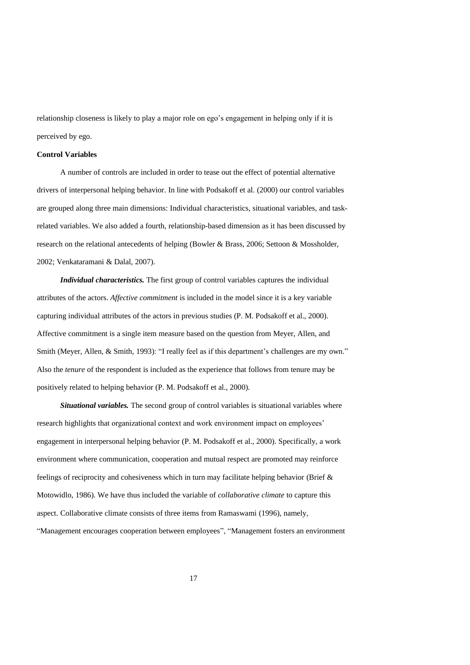relationship closeness is likely to play a major role on ego's engagement in helping only if it is perceived by ego.

### **Control Variables**

A number of controls are included in order to tease out the effect of potential alternative drivers of interpersonal helping behavior. In line with Podsakoff et al. (2000) our control variables are grouped along three main dimensions: Individual characteristics, situational variables, and taskrelated variables. We also added a fourth, relationship-based dimension as it has been discussed by research on the relational antecedents of helping (Bowler & Brass, 2006; Settoon & Mossholder, 2002; Venkataramani & Dalal, 2007).

*Individual characteristics.* The first group of control variables captures the individual attributes of the actors. *Affective commitment* is included in the model since it is a key variable capturing individual attributes of the actors in previous studies (P. M. Podsakoff et al., 2000). Affective commitment is a single item measure based on the question from Meyer, Allen, and Smith (Meyer, Allen, & Smith, 1993): "I really feel as if this department's challenges are my own." Also the *tenure* of the respondent is included as the experience that follows from tenure may be positively related to helping behavior (P. M. Podsakoff et al., 2000).

*Situational variables.* The second group of control variables is situational variables where research highlights that organizational context and work environment impact on employees' engagement in interpersonal helping behavior (P. M. Podsakoff et al., 2000). Specifically, a work environment where communication, cooperation and mutual respect are promoted may reinforce feelings of reciprocity and cohesiveness which in turn may facilitate helping behavior (Brief & Motowidlo, 1986). We have thus included the variable of *collaborative climate* to capture this aspect. Collaborative climate consists of three items from Ramaswami (1996), namely, "Management encourages cooperation between employees", "Management fosters an environment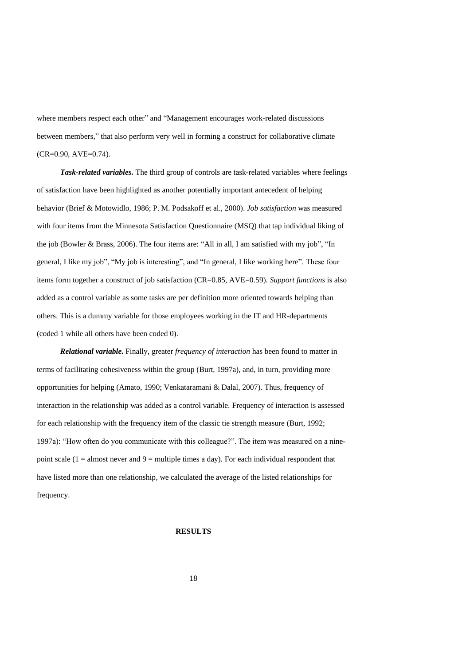where members respect each other" and "Management encourages work-related discussions between members," that also perform very well in forming a construct for collaborative climate (CR=0.90, AVE=0.74).

*Task-related variables.* The third group of controls are task-related variables where feelings of satisfaction have been highlighted as another potentially important antecedent of helping behavior (Brief & Motowidlo, 1986; P. M. Podsakoff et al., 2000). *Job satisfaction* was measured with four items from the Minnesota Satisfaction Questionnaire (MSQ) that tap individual liking of the job (Bowler & Brass, 2006). The four items are: "All in all, I am satisfied with my job", "In general, I like my job", "My job is interesting", and "In general, I like working here". These four items form together a construct of job satisfaction (CR=0.85, AVE=0.59). *Support functions* is also added as a control variable as some tasks are per definition more oriented towards helping than others. This is a dummy variable for those employees working in the IT and HR-departments (coded 1 while all others have been coded 0).

*Relational variable.* Finally, greater *frequency of interaction* has been found to matter in terms of facilitating cohesiveness within the group (Burt, 1997a), and, in turn, providing more opportunities for helping (Amato, 1990; Venkataramani & Dalal, 2007). Thus, frequency of interaction in the relationship was added as a control variable. Frequency of interaction is assessed for each relationship with the frequency item of the classic tie strength measure (Burt, 1992; 1997a): "How often do you communicate with this colleague?". The item was measured on a ninepoint scale  $(1 = \text{almost never and } 9 = \text{multiple times a day})$ . For each individual respondent that have listed more than one relationship, we calculated the average of the listed relationships for frequency.

# **RESULTS**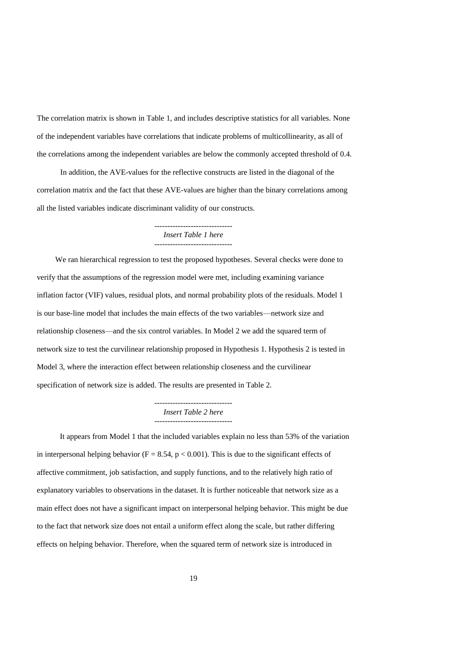The correlation matrix is shown in Table 1, and includes descriptive statistics for all variables. None of the independent variables have correlations that indicate problems of multicollinearity, as all of the correlations among the independent variables are below the commonly accepted threshold of 0.4.

In addition, the AVE-values for the reflective constructs are listed in the diagonal of the correlation matrix and the fact that these AVE-values are higher than the binary correlations among all the listed variables indicate discriminant validity of our constructs.

# ------------------------------ *Insert Table 1 here* ------------------------------

We ran hierarchical regression to test the proposed hypotheses. Several checks were done to verify that the assumptions of the regression model were met, including examining variance inflation factor (VIF) values, residual plots, and normal probability plots of the residuals. Model 1 is our base-line model that includes the main effects of the two variables—network size and relationship closeness—and the six control variables. In Model 2 we add the squared term of network size to test the curvilinear relationship proposed in Hypothesis 1. Hypothesis 2 is tested in Model 3, where the interaction effect between relationship closeness and the curvilinear specification of network size is added. The results are presented in Table 2.

#### ------------------------------ *Insert Table 2 here* ------------------------------

It appears from Model 1 that the included variables explain no less than 53% of the variation in interpersonal helping behavior ( $F = 8.54$ ,  $p < 0.001$ ). This is due to the significant effects of affective commitment, job satisfaction, and supply functions, and to the relatively high ratio of explanatory variables to observations in the dataset. It is further noticeable that network size as a main effect does not have a significant impact on interpersonal helping behavior. This might be due to the fact that network size does not entail a uniform effect along the scale, but rather differing effects on helping behavior. Therefore, when the squared term of network size is introduced in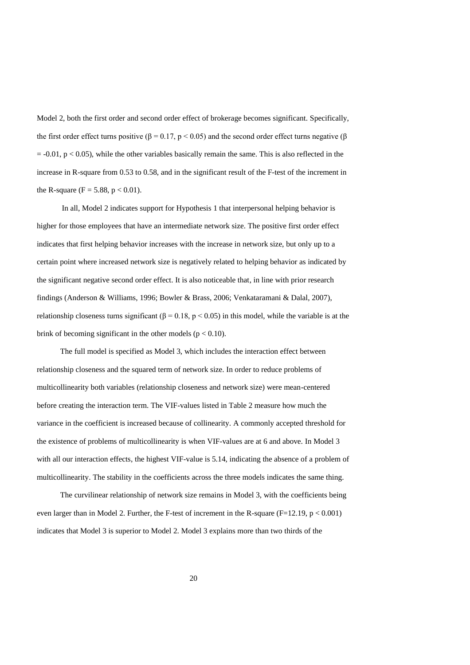Model 2, both the first order and second order effect of brokerage becomes significant. Specifically, the first order effect turns positive (β = 0.17, p < 0.05) and the second order effect turns negative (β  $= -0.01$ ,  $p < 0.05$ ), while the other variables basically remain the same. This is also reflected in the increase in R-square from 0.53 to 0.58, and in the significant result of the F-test of the increment in the R-square (F = 5.88,  $p < 0.01$ ).

In all, Model 2 indicates support for Hypothesis 1 that interpersonal helping behavior is higher for those employees that have an intermediate network size. The positive first order effect indicates that first helping behavior increases with the increase in network size, but only up to a certain point where increased network size is negatively related to helping behavior as indicated by the significant negative second order effect. It is also noticeable that, in line with prior research findings (Anderson & Williams, 1996; Bowler & Brass, 2006; Venkataramani & Dalal, 2007), relationship closeness turns significant ( $\beta = 0.18$ , p < 0.05) in this model, while the variable is at the brink of becoming significant in the other models ( $p < 0.10$ ).

The full model is specified as Model 3, which includes the interaction effect between relationship closeness and the squared term of network size. In order to reduce problems of multicollinearity both variables (relationship closeness and network size) were mean-centered before creating the interaction term. The VIF-values listed in Table 2 measure how much the variance in the coefficient is increased because of collinearity. A commonly accepted threshold for the existence of problems of multicollinearity is when VIF-values are at 6 and above. In Model 3 with all our interaction effects, the highest VIF-value is 5.14, indicating the absence of a problem of multicollinearity. The stability in the coefficients across the three models indicates the same thing.

The curvilinear relationship of network size remains in Model 3, with the coefficients being even larger than in Model 2. Further, the F-test of increment in the R-square (F=12.19, p < 0.001) indicates that Model 3 is superior to Model 2. Model 3 explains more than two thirds of the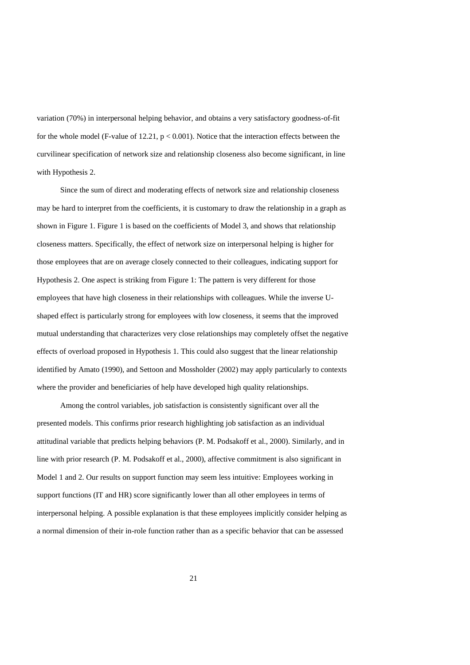variation (70%) in interpersonal helping behavior, and obtains a very satisfactory goodness-of-fit for the whole model (F-value of 12.21,  $p < 0.001$ ). Notice that the interaction effects between the curvilinear specification of network size and relationship closeness also become significant, in line with Hypothesis 2.

Since the sum of direct and moderating effects of network size and relationship closeness may be hard to interpret from the coefficients, it is customary to draw the relationship in a graph as shown in Figure 1. Figure 1 is based on the coefficients of Model 3, and shows that relationship closeness matters. Specifically, the effect of network size on interpersonal helping is higher for those employees that are on average closely connected to their colleagues, indicating support for Hypothesis 2. One aspect is striking from Figure 1: The pattern is very different for those employees that have high closeness in their relationships with colleagues. While the inverse Ushaped effect is particularly strong for employees with low closeness, it seems that the improved mutual understanding that characterizes very close relationships may completely offset the negative effects of overload proposed in Hypothesis 1. This could also suggest that the linear relationship identified by Amato (1990), and Settoon and Mossholder (2002) may apply particularly to contexts where the provider and beneficiaries of help have developed high quality relationships.

Among the control variables, job satisfaction is consistently significant over all the presented models. This confirms prior research highlighting job satisfaction as an individual attitudinal variable that predicts helping behaviors (P. M. Podsakoff et al., 2000). Similarly, and in line with prior research (P. M. Podsakoff et al., 2000), affective commitment is also significant in Model 1 and 2. Our results on support function may seem less intuitive: Employees working in support functions (IT and HR) score significantly lower than all other employees in terms of interpersonal helping. A possible explanation is that these employees implicitly consider helping as a normal dimension of their in-role function rather than as a specific behavior that can be assessed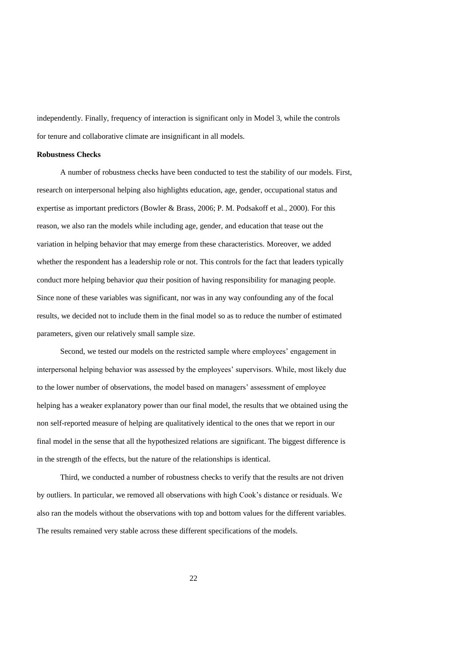independently. Finally, frequency of interaction is significant only in Model 3, while the controls for tenure and collaborative climate are insignificant in all models.

# **Robustness Checks**

A number of robustness checks have been conducted to test the stability of our models. First, research on interpersonal helping also highlights education, age, gender, occupational status and expertise as important predictors (Bowler & Brass, 2006; P. M. Podsakoff et al., 2000). For this reason, we also ran the models while including age, gender, and education that tease out the variation in helping behavior that may emerge from these characteristics. Moreover, we added whether the respondent has a leadership role or not. This controls for the fact that leaders typically conduct more helping behavior *qua* their position of having responsibility for managing people. Since none of these variables was significant, nor was in any way confounding any of the focal results, we decided not to include them in the final model so as to reduce the number of estimated parameters, given our relatively small sample size.

Second, we tested our models on the restricted sample where employees' engagement in interpersonal helping behavior was assessed by the employees' supervisors. While, most likely due to the lower number of observations, the model based on managers' assessment of employee helping has a weaker explanatory power than our final model, the results that we obtained using the non self-reported measure of helping are qualitatively identical to the ones that we report in our final model in the sense that all the hypothesized relations are significant. The biggest difference is in the strength of the effects, but the nature of the relationships is identical.

Third, we conducted a number of robustness checks to verify that the results are not driven by outliers. In particular, we removed all observations with high Cook's distance or residuals. We also ran the models without the observations with top and bottom values for the different variables. The results remained very stable across these different specifications of the models.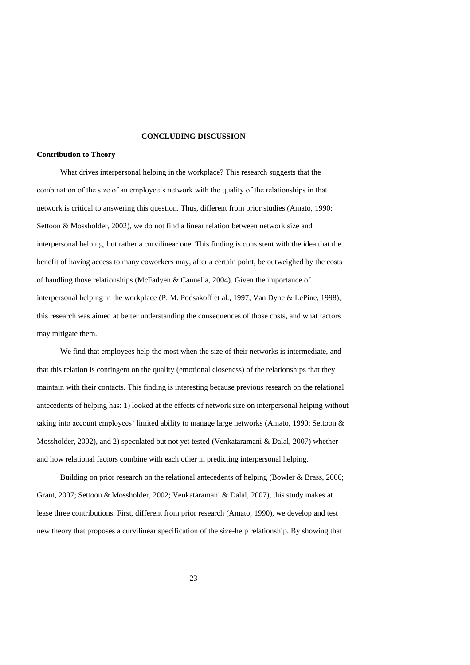# **CONCLUDING DISCUSSION**

#### **Contribution to Theory**

What drives interpersonal helping in the workplace? This research suggests that the combination of the size of an employee's network with the quality of the relationships in that network is critical to answering this question. Thus, different from prior studies (Amato, 1990; Settoon & Mossholder, 2002), we do not find a linear relation between network size and interpersonal helping, but rather a curvilinear one. This finding is consistent with the idea that the benefit of having access to many coworkers may, after a certain point, be outweighed by the costs of handling those relationships (McFadyen & Cannella, 2004). Given the importance of interpersonal helping in the workplace (P. M. Podsakoff et al., 1997; Van Dyne & LePine, 1998), this research was aimed at better understanding the consequences of those costs, and what factors may mitigate them.

We find that employees help the most when the size of their networks is intermediate, and that this relation is contingent on the quality (emotional closeness) of the relationships that they maintain with their contacts. This finding is interesting because previous research on the relational antecedents of helping has: 1) looked at the effects of network size on interpersonal helping without taking into account employees' limited ability to manage large networks (Amato, 1990; Settoon & Mossholder, 2002), and 2) speculated but not yet tested (Venkataramani & Dalal, 2007) whether and how relational factors combine with each other in predicting interpersonal helping.

Building on prior research on the relational antecedents of helping (Bowler & Brass, 2006; Grant, 2007; Settoon & Mossholder, 2002; Venkataramani & Dalal, 2007), this study makes at lease three contributions. First, different from prior research (Amato, 1990), we develop and test new theory that proposes a curvilinear specification of the size-help relationship. By showing that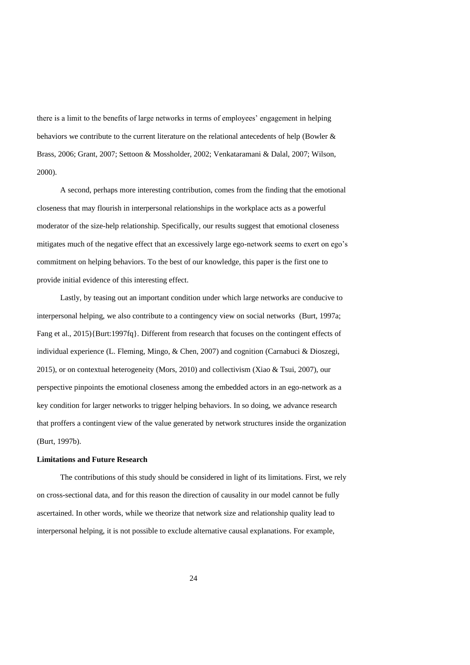there is a limit to the benefits of large networks in terms of employees' engagement in helping behaviors we contribute to the current literature on the relational antecedents of help (Bowler & Brass, 2006; Grant, 2007; Settoon & Mossholder, 2002; Venkataramani & Dalal, 2007; Wilson, 2000).

A second, perhaps more interesting contribution, comes from the finding that the emotional closeness that may flourish in interpersonal relationships in the workplace acts as a powerful moderator of the size-help relationship. Specifically, our results suggest that emotional closeness mitigates much of the negative effect that an excessively large ego-network seems to exert on ego's commitment on helping behaviors. To the best of our knowledge, this paper is the first one to provide initial evidence of this interesting effect.

Lastly, by teasing out an important condition under which large networks are conducive to interpersonal helping, we also contribute to a contingency view on social networks (Burt, 1997a; Fang et al., 2015){Burt:1997fq}. Different from research that focuses on the contingent effects of individual experience (L. Fleming, Mingo, & Chen, 2007) and cognition (Carnabuci & Dioszegi, 2015), or on contextual heterogeneity (Mors, 2010) and collectivism (Xiao & Tsui, 2007), our perspective pinpoints the emotional closeness among the embedded actors in an ego-network as a key condition for larger networks to trigger helping behaviors. In so doing, we advance research that proffers a contingent view of the value generated by network structures inside the organization (Burt, 1997b).

#### **Limitations and Future Research**

The contributions of this study should be considered in light of its limitations. First, we rely on cross-sectional data, and for this reason the direction of causality in our model cannot be fully ascertained. In other words, while we theorize that network size and relationship quality lead to interpersonal helping, it is not possible to exclude alternative causal explanations. For example,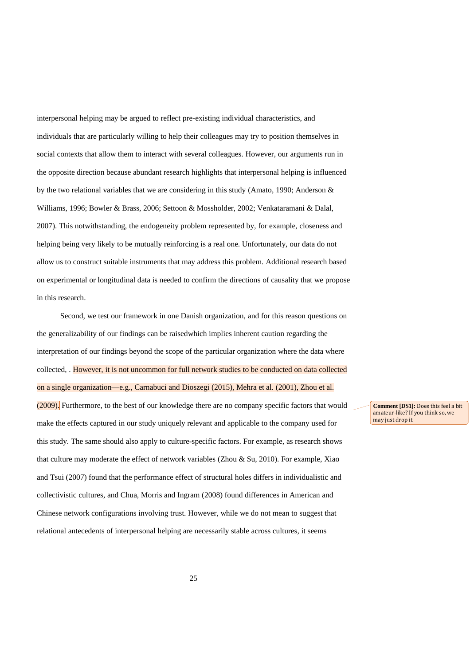interpersonal helping may be argued to reflect pre-existing individual characteristics, and individuals that are particularly willing to help their colleagues may try to position themselves in social contexts that allow them to interact with several colleagues. However, our arguments run in the opposite direction because abundant research highlights that interpersonal helping is influenced by the two relational variables that we are considering in this study (Amato, 1990; Anderson & Williams, 1996; Bowler & Brass, 2006; Settoon & Mossholder, 2002; Venkataramani & Dalal, 2007). This notwithstanding, the endogeneity problem represented by, for example, closeness and helping being very likely to be mutually reinforcing is a real one. Unfortunately, our data do not allow us to construct suitable instruments that may address this problem. Additional research based on experimental or longitudinal data is needed to confirm the directions of causality that we propose in this research.

Second, we test our framework in one Danish organization, and for this reason questions on the generalizability of our findings can be raisedwhich implies inherent caution regarding the interpretation of our findings beyond the scope of the particular organization where the data where collected, . However, it is not uncommon for full network studies to be conducted on data collected on a single organization—e.g., Carnabuci and Dioszegi (2015), Mehra et al. (2001), Zhou et al. (2009). Furthermore, to the best of our knowledge there are no company specific factors that would make the effects captured in our study uniquely relevant and applicable to the company used for this study. The same should also apply to culture-specific factors. For example, as research shows that culture may moderate the effect of network variables (Zhou & Su, 2010). For example, Xiao and Tsui (2007) found that the performance effect of structural holes differs in individualistic and collectivistic cultures, and Chua, Morris and Ingram (2008) found differences in American and Chinese network configurations involving trust. However, while we do not mean to suggest that relational antecedents of interpersonal helping are necessarily stable across cultures, it seems

**Comment [DS1]:** Does this feel a bit amateur-like? If you think so, we may just drop it.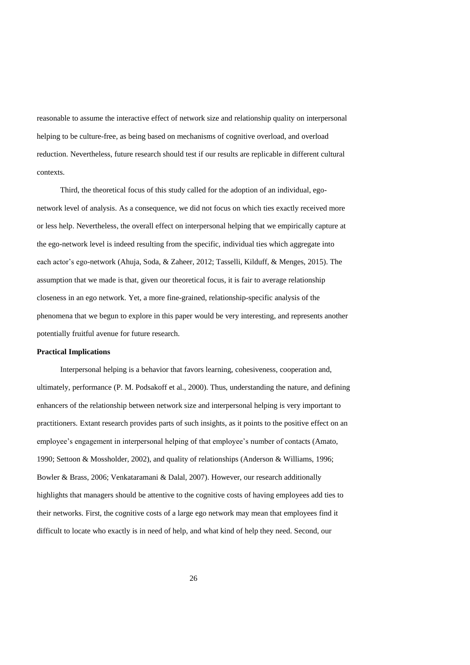reasonable to assume the interactive effect of network size and relationship quality on interpersonal helping to be culture-free, as being based on mechanisms of cognitive overload, and overload reduction. Nevertheless, future research should test if our results are replicable in different cultural contexts.

Third, the theoretical focus of this study called for the adoption of an individual, egonetwork level of analysis. As a consequence, we did not focus on which ties exactly received more or less help. Nevertheless, the overall effect on interpersonal helping that we empirically capture at the ego-network level is indeed resulting from the specific, individual ties which aggregate into each actor's ego-network (Ahuja, Soda, & Zaheer, 2012; Tasselli, Kilduff, & Menges, 2015). The assumption that we made is that, given our theoretical focus, it is fair to average relationship closeness in an ego network. Yet, a more fine-grained, relationship-specific analysis of the phenomena that we begun to explore in this paper would be very interesting, and represents another potentially fruitful avenue for future research.

#### **Practical Implications**

Interpersonal helping is a behavior that favors learning, cohesiveness, cooperation and, ultimately, performance (P. M. Podsakoff et al., 2000). Thus, understanding the nature, and defining enhancers of the relationship between network size and interpersonal helping is very important to practitioners. Extant research provides parts of such insights, as it points to the positive effect on an employee's engagement in interpersonal helping of that employee's number of contacts (Amato, 1990; Settoon & Mossholder, 2002), and quality of relationships (Anderson & Williams, 1996; Bowler & Brass, 2006; Venkataramani & Dalal, 2007). However, our research additionally highlights that managers should be attentive to the cognitive costs of having employees add ties to their networks. First, the cognitive costs of a large ego network may mean that employees find it difficult to locate who exactly is in need of help, and what kind of help they need. Second, our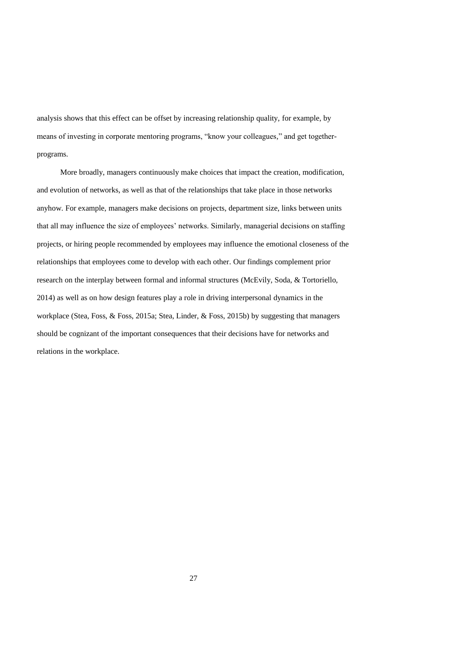analysis shows that this effect can be offset by increasing relationship quality, for example, by means of investing in corporate mentoring programs, "know your colleagues," and get togetherprograms.

More broadly, managers continuously make choices that impact the creation, modification, and evolution of networks, as well as that of the relationships that take place in those networks anyhow. For example, managers make decisions on projects, department size, links between units that all may influence the size of employees' networks. Similarly, managerial decisions on staffing projects, or hiring people recommended by employees may influence the emotional closeness of the relationships that employees come to develop with each other. Our findings complement prior research on the interplay between formal and informal structures (McEvily, Soda, & Tortoriello, 2014) as well as on how design features play a role in driving interpersonal dynamics in the workplace (Stea, Foss, & Foss, 2015a; Stea, Linder, & Foss, 2015b) by suggesting that managers should be cognizant of the important consequences that their decisions have for networks and relations in the workplace.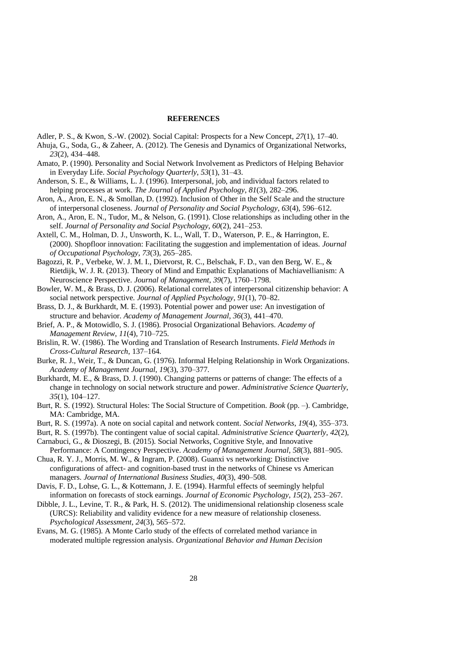# **REFERENCES**

- Adler, P. S., & Kwon, S.-W. (2002). Social Capital: Prospects for a New Concept, *27*(1), 17–40.
- Ahuja, G., Soda, G., & Zaheer, A. (2012). The Genesis and Dynamics of Organizational Networks, *23*(2), 434–448.
- Amato, P. (1990). Personality and Social Network Involvement as Predictors of Helping Behavior in Everyday Life. *Social Psychology Quarterly*, *53*(1), 31–43.
- Anderson, S. E., & Williams, L. J. (1996). Interpersonal, job, and individual factors related to helping processes at work. *The Journal of Applied Psychology*, *81*(3), 282–296.
- Aron, A., Aron, E. N., & Smollan, D. (1992). Inclusion of Other in the Self Scale and the structure of interpersonal closeness. *Journal of Personality and Social Psychology*, *63*(4), 596–612.
- Aron, A., Aron, E. N., Tudor, M., & Nelson, G. (1991). Close relationships as including other in the self. *Journal of Personality and Social Psychology*, *60*(2), 241–253.
- Axtell, C. M., Holman, D. J., Unsworth, K. L., Wall, T. D., Waterson, P. E., & Harrington, E. (2000). Shopfloor innovation: Facilitating the suggestion and implementation of ideas. *Journal of Occupational Psychology*, *73*(3), 265–285.
- Bagozzi, R. P., Verbeke, W. J. M. I., Dietvorst, R. C., Belschak, F. D., van den Berg, W. E., & Rietdijk, W. J. R. (2013). Theory of Mind and Empathic Explanations of Machiavellianism: A Neuroscience Perspective. *Journal of Management*, *39*(7), 1760–1798.
- Bowler, W. M., & Brass, D. J. (2006). Relational correlates of interpersonal citizenship behavior: A social network perspective. *Journal of Applied Psychology*, *91*(1), 70–82.
- Brass, D. J., & Burkhardt, M. E. (1993). Potential power and power use: An investigation of structure and behavior. *Academy of Management Journal*, *36*(3), 441–470.
- Brief, A. P., & Motowidlo, S. J. (1986). Prosocial Organizational Behaviors. *Academy of Management Review*, *11*(4), 710–725.
- Brislin, R. W. (1986). The Wording and Translation of Research Instruments. *Field Methods in Cross-Cultural Research*, 137–164.
- Burke, R. J., Weir, T., & Duncan, G. (1976). Informal Helping Relationship in Work Organizations. *Academy of Management Journal*, *19*(3), 370–377.
- Burkhardt, M. E., & Brass, D. J. (1990). Changing patterns or patterns of change: The effects of a change in technology on social network structure and power. *Administrative Science Quarterly*, *35*(1), 104–127.
- Burt, R. S. (1992). Structural Holes: The Social Structure of Competition. *Book* (pp. –). Cambridge, MA: Cambridge, MA.
- Burt, R. S. (1997a). A note on social capital and network content. *Social Networks*, *19*(4), 355–373.
- Burt, R. S. (1997b). The contingent value of social capital. *Administrative Science Quarterly*, *42*(2), Carnabuci, G., & Dioszegi, B. (2015). Social Networks, Cognitive Style, and Innovative
- Performance: A Contingency Perspective. *Academy of Management Journal*, *58*(3), 881–905. Chua, R. Y. J., Morris, M. W., & Ingram, P. (2008). Guanxi vs networking: Distinctive
- configurations of affect- and cognition-based trust in the networks of Chinese vs American managers. *Journal of International Business Studies*, *40*(3), 490–508.
- Davis, F. D., Lohse, G. L., & Kottemann, J. E. (1994). Harmful effects of seemingly helpful information on forecasts of stock earnings. *Journal of Economic Psychology*, *15*(2), 253–267.
- Dibble, J. L., Levine, T. R., & Park, H. S. (2012). The unidimensional relationship closeness scale (URCS): Reliability and validity evidence for a new measure of relationship closeness. *Psychological Assessment*, *24*(3), 565–572.
- Evans, M. G. (1985). A Monte Carlo study of the effects of correlated method variance in moderated multiple regression analysis. *Organizational Behavior and Human Decision*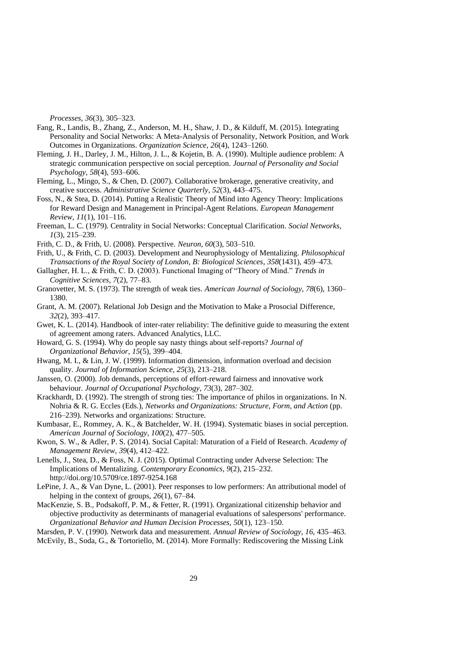*Processes*, *36*(3), 305–323.

- Fang, R., Landis, B., Zhang, Z., Anderson, M. H., Shaw, J. D., & Kilduff, M. (2015). Integrating Personality and Social Networks: A Meta-Analysis of Personality, Network Position, and Work Outcomes in Organizations. *Organization Science*, *26*(4), 1243–1260.
- Fleming, J. H., Darley, J. M., Hilton, J. L., & Kojetin, B. A. (1990). Multiple audience problem: A strategic communication perspective on social perception. *Journal of Personality and Social Psychology*, *58*(4), 593–606.
- Fleming, L., Mingo, S., & Chen, D. (2007). Collaborative brokerage, generative creativity, and creative success. *Administrative Science Quarterly*, *52*(3), 443–475.
- Foss, N., & Stea, D. (2014). Putting a Realistic Theory of Mind into Agency Theory: Implications for Reward Design and Management in Principal-Agent Relations. *European Management Review*, *11*(1), 101–116.
- Freeman, L. C. (1979). Centrality in Social Networks: Conceptual Clarification. *Social Networks*, *1*(3), 215–239.
- Frith, C. D., & Frith, U. (2008). Perspective. *Neuron*, *60*(3), 503–510.
- Frith, U., & Frith, C. D. (2003). Development and Neurophysiology of Mentalizing. *Philosophical Transactions of the Royal Society of London, B: Biological Sciences*, *358*(1431), 459–473.
- Gallagher, H. L., & Frith, C. D. (2003). Functional Imaging of "Theory of Mind." *Trends in Cognitive Sciences*, *7*(2), 77–83.
- Granovetter, M. S. (1973). The strength of weak ties. *American Journal of Sociology*, *78*(6), 1360– 1380.
- Grant, A. M. (2007). Relational Job Design and the Motivation to Make a Prosocial Difference, *32*(2), 393–417.
- Gwet, K. L. (2014). Handbook of inter-rater reliability: The definitive guide to measuring the extent of agreement among raters. Advanced Analytics, LLC.
- Howard, G. S. (1994). Why do people say nasty things about self-reports? *Journal of Organizational Behavior*, *15*(5), 399–404.
- Hwang, M. I., & Lin, J. W. (1999). Information dimension, information overload and decision quality. *Journal of Information Science*, *25*(3), 213–218.
- Janssen, O. (2000). Job demands, perceptions of effort-reward fairness and innovative work behaviour. *Journal of Occupational Psychology*, *73*(3), 287–302.
- Krackhardt, D. (1992). The strength of strong ties: The importance of philos in organizations. In N. Nohria & R. G. Eccles (Eds.), *Networks and Organizations: Structure, Form, and Action* (pp. 216–239). Networks and organizations: Structure.
- Kumbasar, E., Rommey, A. K., & Batchelder, W. H. (1994). Systematic biases in social perception. *American Journal of Sociology*, *100*(2), 477–505.
- Kwon, S. W., & Adler, P. S. (2014). Social Capital: Maturation of a Field of Research. *Academy of Management Review*, *39*(4), 412–422.
- Lenells, J., Stea, D., & Foss, N. J. (2015). Optimal Contracting under Adverse Selection: The Implications of Mentalizing. *Contemporary Economics*, *9*(2), 215–232. http://doi.org/10.5709/ce.1897-9254.168
- LePine, J. A., & Van Dyne, L. (2001). Peer responses to low performers: An attributional model of helping in the context of groups, *26*(1), 67–84.
- MacKenzie, S. B., Podsakoff, P. M., & Fetter, R. (1991). Organizational citizenship behavior and objective productivity as determinants of managerial evaluations of salespersons' performance. *Organizational Behavior and Human Decision Processes*, *50*(1), 123–150.
- Marsden, P. V. (1990). Network data and measurement. *Annual Review of Sociology*, *16*, 435–463. McEvily, B., Soda, G., & Tortoriello, M. (2014). More Formally: Rediscovering the Missing Link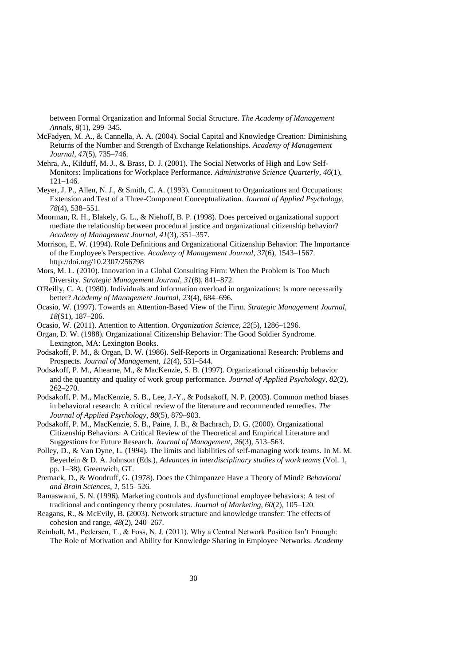between Formal Organization and Informal Social Structure. *The Academy of Management Annals*, *8*(1), 299–345.

- McFadyen, M. A., & Cannella, A. A. (2004). Social Capital and Knowledge Creation: Diminishing Returns of the Number and Strength of Exchange Relationships. *Academy of Management Journal*, *47*(5), 735–746.
- Mehra, A., Kilduff, M. J., & Brass, D. J. (2001). The Social Networks of High and Low Self-Monitors: Implications for Workplace Performance. *Administrative Science Quarterly*, *46*(1), 121–146.
- Meyer, J. P., Allen, N. J., & Smith, C. A. (1993). Commitment to Organizations and Occupations: Extension and Test of a Three-Component Conceptualization. *Journal of Applied Psychology*, *78*(4), 538–551.
- Moorman, R. H., Blakely, G. L., & Niehoff, B. P. (1998). Does perceived organizational support mediate the relationship between procedural justice and organizational citizenship behavior? *Academy of Management Journal*, *41*(3), 351–357.
- Morrison, E. W. (1994). Role Definitions and Organizational Citizenship Behavior: The Importance of the Employee's Perspective. *Academy of Management Journal*, *37*(6), 1543–1567. http://doi.org/10.2307/256798
- Mors, M. L. (2010). Innovation in a Global Consulting Firm: When the Problem is Too Much Diversity. *Strategic Management Journal*, *31*(8), 841–872.
- O'Reilly, C. A. (1980). Individuals and information overload in organizations: Is more necessarily better? *Academy of Management Journal*, *23*(4), 684–696.
- Ocasio, W. (1997). Towards an Attention‐Based View of the Firm. *Strategic Management Journal*, *18*(S1), 187–206.
- Ocasio, W. (2011). Attention to Attention. *Organization Science, 22*(5), 1286–1296.
- Organ, D. W. (1988). Organizational Citizenship Behavior: The Good Soldier Syndrome. Lexington, MA: Lexington Books.
- Podsakoff, P. M., & Organ, D. W. (1986). Self-Reports in Organizational Research: Problems and Prospects. *Journal of Management*, *12*(4), 531–544.
- Podsakoff, P. M., Ahearne, M., & MacKenzie, S. B. (1997). Organizational citizenship behavior and the quantity and quality of work group performance. *Journal of Applied Psychology*, *82*(2), 262–270.
- Podsakoff, P. M., MacKenzie, S. B., Lee, J.-Y., & Podsakoff, N. P. (2003). Common method biases in behavioral research: A critical review of the literature and recommended remedies. *The Journal of Applied Psychology*, *88*(5), 879–903.
- Podsakoff, P. M., MacKenzie, S. B., Paine, J. B., & Bachrach, D. G. (2000). Organizational Citizenship Behaviors: A Critical Review of the Theoretical and Empirical Literature and Suggestions for Future Research. *Journal of Management*, *26*(3), 513–563.
- Polley, D., & Van Dyne, L. (1994). The limits and liabilities of self-managing work teams. In M. M. Beyerlein & D. A. Johnson (Eds.), *Advances in interdisciplinary studies of work teams* (Vol. 1, pp. 1–38). Greenwich, GT.
- Premack, D., & Woodruff, G. (1978). Does the Chimpanzee Have a Theory of Mind? *Behavioral and Brain Sciences*, *1*, 515–526.
- Ramaswami, S. N. (1996). Marketing controls and dysfunctional employee behaviors: A test of traditional and contingency theory postulates. *Journal of Marketing*, *60*(2), 105–120.
- Reagans, R., & McEvily, B. (2003). Network structure and knowledge transfer: The effects of cohesion and range, *48*(2), 240–267.
- Reinholt, M., Pedersen, T., & Foss, N. J. (2011). Why a Central Network Position Isn't Enough: The Role of Motivation and Ability for Knowledge Sharing in Employee Networks. *Academy*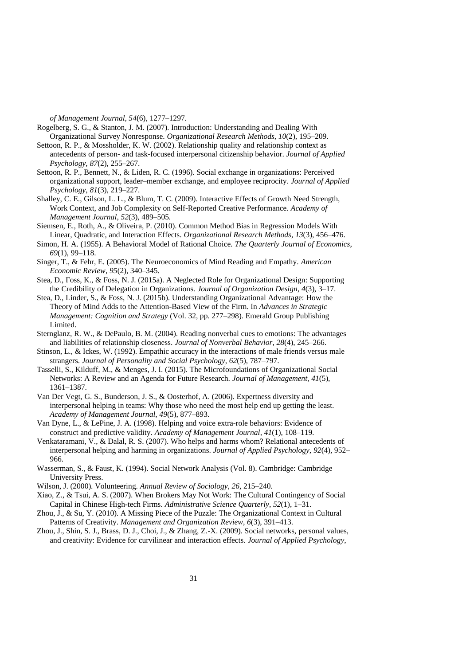*of Management Journal*, *54*(6), 1277–1297.

- Rogelberg, S. G., & Stanton, J. M. (2007). Introduction: Understanding and Dealing With Organizational Survey Nonresponse. *Organizational Research Methods*, *10*(2), 195–209.
- Settoon, R. P., & Mossholder, K. W. (2002). Relationship quality and relationship context as antecedents of person- and task-focused interpersonal citizenship behavior. *Journal of Applied Psychology*, *87*(2), 255–267.
- Settoon, R. P., Bennett, N., & Liden, R. C. (1996). Social exchange in organizations: Perceived organizational support, leader–member exchange, and employee reciprocity. *Journal of Applied Psychology*, *81*(3), 219–227.
- Shalley, C. E., Gilson, L. L., & Blum, T. C. (2009). Interactive Effects of Growth Need Strength, Work Context, and Job Complexity on Self-Reported Creative Performance. *Academy of Management Journal*, *52*(3), 489–505.
- Siemsen, E., Roth, A., & Oliveira, P. (2010). Common Method Bias in Regression Models With Linear, Quadratic, and Interaction Effects. *Organizational Research Methods*, *13*(3), 456–476.
- Simon, H. A. (1955). A Behavioral Model of Rational Choice. *The Quarterly Journal of Economics*, *69*(1), 99–118.
- Singer, T., & Fehr, E. (2005). The Neuroeconomics of Mind Reading and Empathy. *American Economic Review*, *95*(2), 340–345.
- Stea, D., Foss, K., & Foss, N. J. (2015a). A Neglected Role for Organizational Design: Supporting the Credibility of Delegation in Organizations. *Journal of Organization Design*, *4*(3), 3–17.
- Stea, D., Linder, S., & Foss, N. J. (2015b). Understanding Organizational Advantage: How the Theory of Mind Adds to the Attention-Based View of the Firm. In *Advances in Strategic Management: Cognition and Strategy* (Vol. 32, pp. 277–298). Emerald Group Publishing Limited.
- Sternglanz, R. W., & DePaulo, B. M. (2004). Reading nonverbal cues to emotions: The advantages and liabilities of relationship closeness. *Journal of Nonverbal Behavior*, *28*(4), 245–266.
- Stinson, L., & Ickes, W. (1992). Empathic accuracy in the interactions of male friends versus male strangers. *Journal of Personality and Social Psychology*, *62*(5), 787–797.
- Tasselli, S., Kilduff, M., & Menges, J. I. (2015). The Microfoundations of Organizational Social Networks: A Review and an Agenda for Future Research. *Journal of Management*, *41*(5), 1361–1387.
- Van Der Vegt, G. S., Bunderson, J. S., & Oosterhof, A. (2006). Expertness diversity and interpersonal helping in teams: Why those who need the most help end up getting the least. *Academy of Management Journal*, *49*(5), 877–893.
- Van Dyne, L., & LePine, J. A. (1998). Helping and voice extra-role behaviors: Evidence of construct and predictive validity. *Academy of Management Journal*, *41*(1), 108–119.
- Venkataramani, V., & Dalal, R. S. (2007). Who helps and harms whom? Relational antecedents of interpersonal helping and harming in organizations. *Journal of Applied Psychology*, *92*(4), 952– 966.
- Wasserman, S., & Faust, K. (1994). Social Network Analysis (Vol. 8). Cambridge: Cambridge University Press.
- Wilson, J. (2000). Volunteering. *Annual Review of Sociology*, *26*, 215–240.
- Xiao, Z., & Tsui, A. S. (2007). When Brokers May Not Work: The Cultural Contingency of Social Capital in Chinese High-tech Firms. *Administrative Science Quarterly*, *52*(1), 1–31.
- Zhou, J., & Su, Y. (2010). A Missing Piece of the Puzzle: The Organizational Context in Cultural Patterns of Creativity. *Management and Organization Review*, *6*(3), 391–413.
- Zhou, J., Shin, S. J., Brass, D. J., Choi, J., & Zhang, Z.-X. (2009). Social networks, personal values, and creativity: Evidence for curvilinear and interaction effects. *Journal of Applied Psychology*,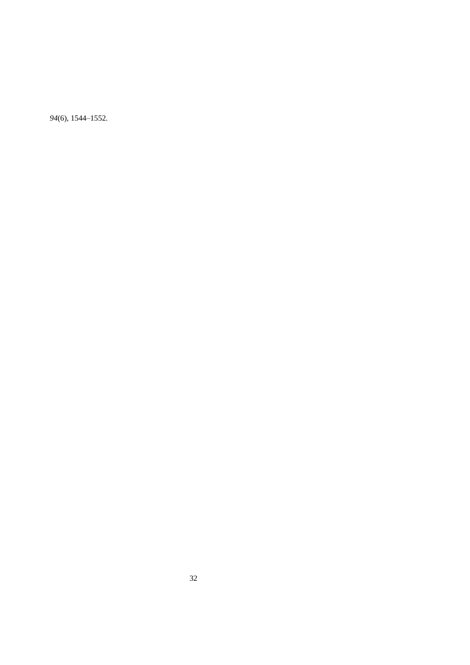(6), 1544–1552.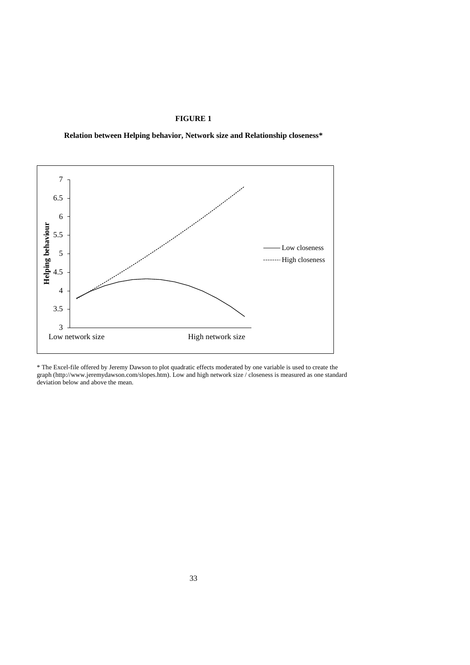# **FIGURE 1**

**Relation between Helping behavior, Network size and Relationship closeness\***



\* The Excel-file offered by Jeremy Dawson to plot quadratic effects moderated by one variable is used to create the graph (http://www.jeremydawson.com/slopes.htm). Low and high network size / closeness is measured as one standard deviation below and above the mean.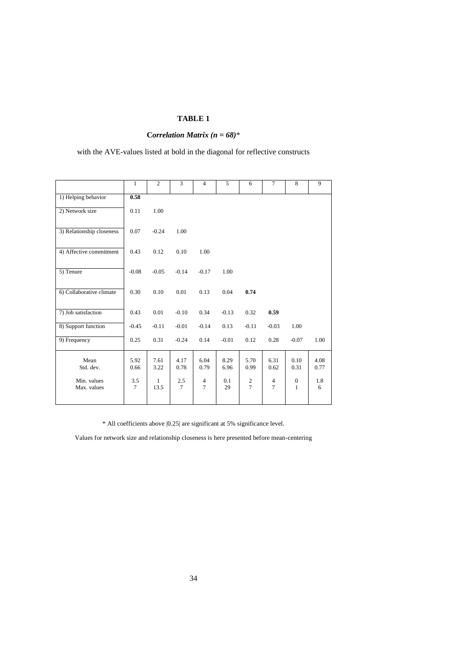# **TABLE 1**

# **C***orrelation Matrix (n = 68)*\*

with the AVE-values listed at bold in the diagonal for reflective constructs

|                            | $\mathbf{1}$  | $\overline{c}$ | $\overline{3}$ | $\overline{4}$                   | 5            | 6             | $\tau$                           | 8                            | $\mathbf{Q}$ |
|----------------------------|---------------|----------------|----------------|----------------------------------|--------------|---------------|----------------------------------|------------------------------|--------------|
| 1) Helping behavior        | 0.58          |                |                |                                  |              |               |                                  |                              |              |
| 2) Network size            | 0.11          | 1.00           |                |                                  |              |               |                                  |                              |              |
| 3) Relationship closeness  | 0.07          | $-0.24$        | 1.00           |                                  |              |               |                                  |                              |              |
| 4) Affective commitment    | 0.43          | 0.12           | 0.10           | 1.00                             |              |               |                                  |                              |              |
| 5) Tenure                  | $-0.08$       | $-0.05$        | $-0.14$        | $-0.17$                          | 1.00         |               |                                  |                              |              |
| 6) Collaborative climate   | 0.30          | 0.10           | 0.01           | 0.13                             | 0.04         | 0.74          |                                  |                              |              |
| 7) Job satisfaction        | 0.43          | 0.01           | $-0.10$        | 0.34                             | $-0.13$      | 0.32          | 0.59                             |                              |              |
| 8) Support function        | $-0.45$       | $-0.11$        | $-0.01$        | $-0.14$                          | 0.13         | $-0.11$       | $-0.03$                          | 1.00                         |              |
| 9) Frequency               | 0.25          | 0.31           | $-0.24$        | 0.14                             | $-0.01$      | 0.12          | 0.28                             | $-0.07$                      | 1.00         |
| Mean<br>Std. dev.          | 5.92<br>0.66  | 7.61<br>3.22   | 4.17<br>0.78   | 6.04<br>0.79                     | 8.29<br>6.96 | 5.70<br>0.99  | 6.31<br>0.62                     | 0.10<br>0.31                 | 4.08<br>0.77 |
| Min. values<br>Max. values | 3.5<br>$\tau$ | 1<br>13.5      | 2.5<br>$\tau$  | $\overline{4}$<br>$\overline{7}$ | 0.1<br>29    | $\frac{2}{7}$ | $\overline{4}$<br>$\overline{7}$ | $\mathbf{0}$<br>$\mathbf{1}$ | 1.8<br>6     |

\* All coefficients above |0.25| are significant at 5% significance level.

Values for network size and relationship closeness is here presented before mean-centering